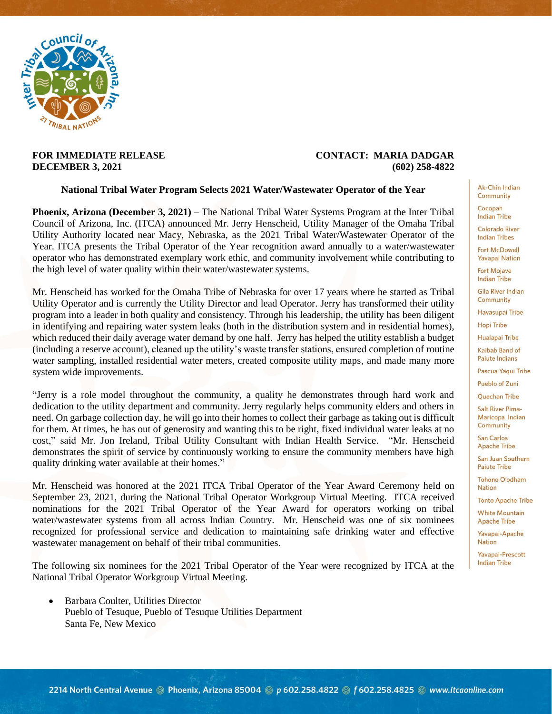

## **FOR IMMEDIATE RELEASE CONTACT: MARIA DADGAR DECEMBER 3, 2021 (602) 258-4822**

## **National Tribal Water Program Selects 2021 Water/Wastewater Operator of the Year**

**Phoenix, Arizona (December 3, 2021)** – The National Tribal Water Systems Program at the Inter Tribal Council of Arizona, Inc. (ITCA) announced Mr. Jerry Henscheid, Utility Manager of the Omaha Tribal Utility Authority located near Macy, Nebraska, as the 2021 Tribal Water/Wastewater Operator of the Year. ITCA presents the Tribal Operator of the Year recognition award annually to a water/wastewater operator who has demonstrated exemplary work ethic, and community involvement while contributing to the high level of water quality within their water/wastewater systems.

Mr. Henscheid has worked for the Omaha Tribe of Nebraska for over 17 years where he started as Tribal Utility Operator and is currently the Utility Director and lead Operator. Jerry has transformed their utility program into a leader in both quality and consistency. Through his leadership, the utility has been diligent in identifying and repairing water system leaks (both in the distribution system and in residential homes), which reduced their daily average water demand by one half. Jerry has helped the utility establish a budget (including a reserve account), cleaned up the utility's waste transfer stations, ensured completion of routine water sampling, installed residential water meters, created composite utility maps, and made many more system wide improvements.

"Jerry is a role model throughout the community, a quality he demonstrates through hard work and dedication to the utility department and community. Jerry regularly helps community elders and others in need. On garbage collection day, he will go into their homes to collect their garbage as taking out is difficult for them. At times, he has out of generosity and wanting this to be right, fixed individual water leaks at no cost," said Mr. Jon Ireland, Tribal Utility Consultant with Indian Health Service. "Mr. Henscheid demonstrates the spirit of service by continuously working to ensure the community members have high quality drinking water available at their homes."

Mr. Henscheid was honored at the 2021 ITCA Tribal Operator of the Year Award Ceremony held on September 23, 2021, during the National Tribal Operator Workgroup Virtual Meeting. ITCA received nominations for the 2021 Tribal Operator of the Year Award for operators working on tribal water/wastewater systems from all across Indian Country. Mr. Henscheid was one of six nominees recognized for professional service and dedication to maintaining safe drinking water and effective wastewater management on behalf of their tribal communities.

The following six nominees for the 2021 Tribal Operator of the Year were recognized by ITCA at the National Tribal Operator Workgroup Virtual Meeting.

 Barbara Coulter, Utilities Director Pueblo of Tesuque, Pueblo of Tesuque Utilities Department Santa Fe, New Mexico

Ak-Chin Indian Community

Cocopah **Indian Tribe** 

**Colorado River Indian Tribes** 

**Fort McDowell Yavapai Nation** 

**Fort Mojave Indian Tribe** 

**Gila River Indian** Community

Havasupai Tribe

**Hopi Tribe** Hualapai Tribe

Kaihah Band of

Paiute Indians Pascua Yaqui Tribe

Pueblo of Zuni

Quechan Tribe

**Salt River Pima-**Maricopa Indian Community

**San Carlos** Apache Tribe

San Juan Southern **Paiute Tribe** 

Tohono O'odham **Nation** 

**Tonto Apache Tribe** 

**White Mountain Apache Tribe** 

Yavapai-Apache **Nation** 

Yavapai-Prescott **Indian Tribe**